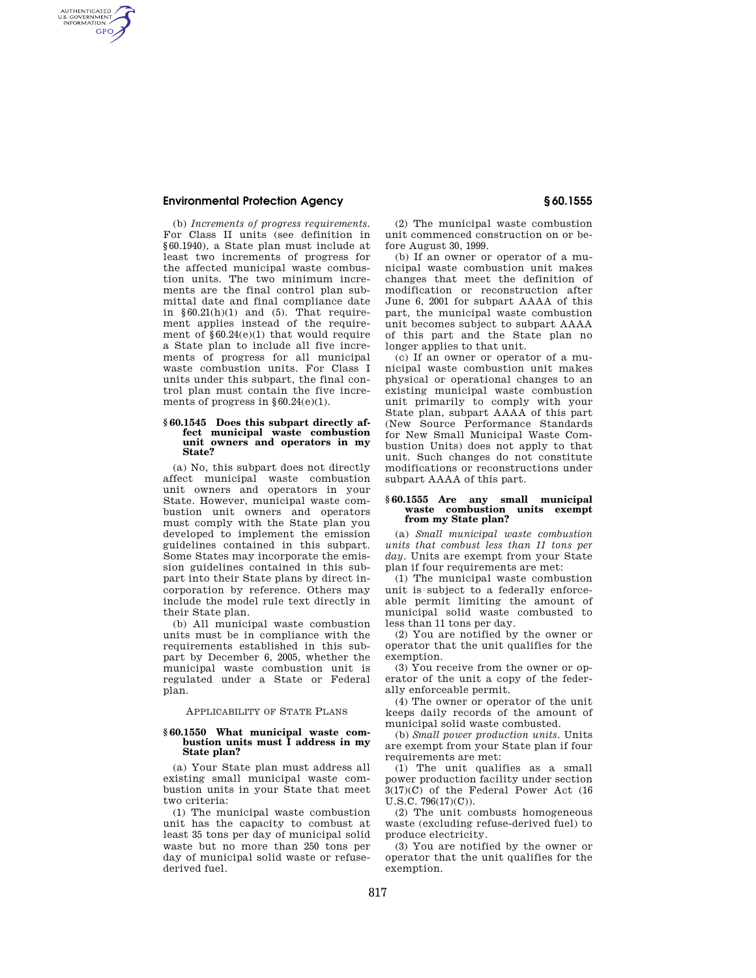# **Environmental Protection Agency § 60.1555**

AUTHENTICATED<br>U.S. GOVERNMENT<br>INFORMATION **GPO** 

> (b) *Increments of progress requirements.*  For Class II units (see definition in §60.1940), a State plan must include at least two increments of progress for the affected municipal waste combustion units. The two minimum increments are the final control plan submittal date and final compliance date in  $§60.21(h)(1)$  and (5). That requirement applies instead of the requirement of §60.24(e)(1) that would require a State plan to include all five increments of progress for all municipal waste combustion units. For Class I units under this subpart, the final control plan must contain the five increments of progress in §60.24(e)(1).

### **§ 60.1545 Does this subpart directly affect municipal waste combustion unit owners and operators in my State?**

(a) No, this subpart does not directly affect municipal waste combustion unit owners and operators in your State. However, municipal waste combustion unit owners and operators must comply with the State plan you developed to implement the emission guidelines contained in this subpart. Some States may incorporate the emission guidelines contained in this subpart into their State plans by direct incorporation by reference. Others may include the model rule text directly in their State plan.

(b) All municipal waste combustion units must be in compliance with the requirements established in this subpart by December 6, 2005, whether the municipal waste combustion unit is regulated under a State or Federal plan.

# APPLICABILITY OF STATE PLANS

# **§ 60.1550 What municipal waste combustion units must I address in my State plan?**

(a) Your State plan must address all existing small municipal waste combustion units in your State that meet two criteria:

(1) The municipal waste combustion unit has the capacity to combust at least 35 tons per day of municipal solid waste but no more than 250 tons per day of municipal solid waste or refusederived fuel.

(2) The municipal waste combustion unit commenced construction on or before August 30, 1999.

(b) If an owner or operator of a municipal waste combustion unit makes changes that meet the definition of modification or reconstruction after June 6, 2001 for subpart AAAA of this part, the municipal waste combustion unit becomes subject to subpart AAAA of this part and the State plan no longer applies to that unit.

(c) If an owner or operator of a municipal waste combustion unit makes physical or operational changes to an existing municipal waste combustion unit primarily to comply with your State plan, subpart AAAA of this part (New Source Performance Standards for New Small Municipal Waste Combustion Units) does not apply to that unit. Such changes do not constitute modifications or reconstructions under subpart AAAA of this part.

#### **§ 60.1555 Are any small municipal waste combustion units exempt from my State plan?**

(a) *Small municipal waste combustion units that combust less than 11 tons per day.* Units are exempt from your State plan if four requirements are met:

(1) The municipal waste combustion unit is subject to a federally enforceable permit limiting the amount of municipal solid waste combusted to less than 11 tons per day.

(2) You are notified by the owner or operator that the unit qualifies for the exemption.

(3) You receive from the owner or operator of the unit a copy of the federally enforceable permit.

(4) The owner or operator of the unit keeps daily records of the amount of municipal solid waste combusted.

(b) *Small power production units.* Units are exempt from your State plan if four requirements are met:

(1) The unit qualifies as a small power production facility under section 3(17)(C) of the Federal Power Act (16 U.S.C. 796(17)(C)).

(2) The unit combusts homogeneous waste (excluding refuse-derived fuel) to produce electricity.

(3) You are notified by the owner or operator that the unit qualifies for the exemption.